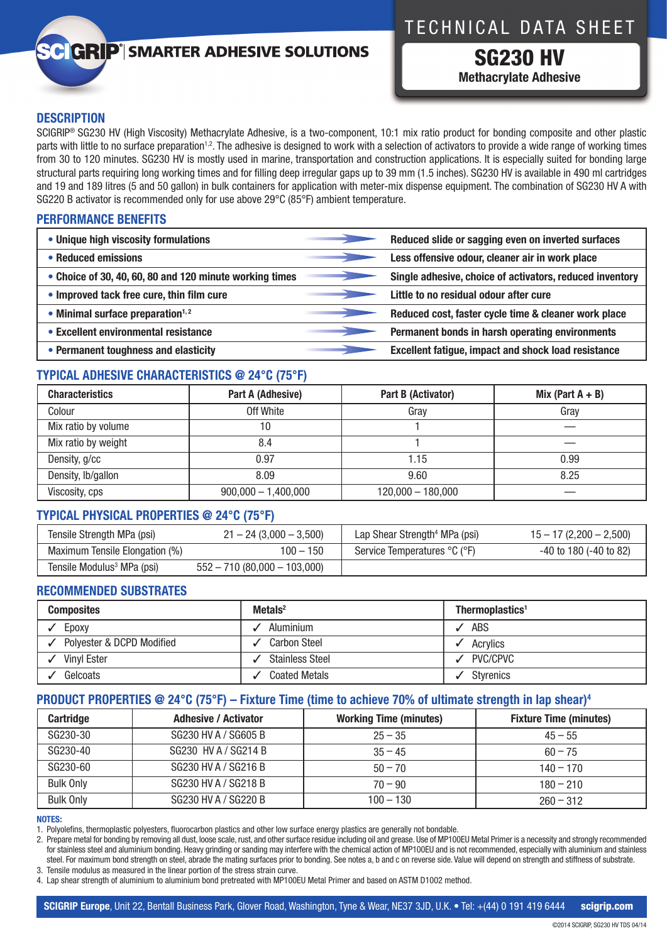# **GRIP**<sup>'</sup> SMARTER ADHESIVE SOLUTIONS

# TECHNICAL DATA SHEET

SG230 HV **Methacrylate Adhesive**

# **DESCRIPTION**

SCIGRIP® SG230 HV (High Viscosity) Methacrylate Adhesive, is a two-component, 10:1 mix ratio product for bonding composite and other plastic parts with little to no surface preparation<sup>1,2</sup>. The adhesive is designed to work with a selection of activators to provide a wide range of working times from 30 to 120 minutes. SG230 HV is mostly used in marine, transportation and construction applications. It is especially suited for bonding large structural parts requiring long working times and for filling deep irregular gaps up to 39 mm (1.5 inches). SG230 HV is available in 490 ml cartridges and 19 and 189 litres (5 and 50 gallon) in bulk containers for application with meter-mix dispense equipment. The combination of SG230 HV A with SG220 B activator is recommended only for use above 29°C (85°F) ambient temperature.

# **PERFORMANCE BENEFITS**

| • Unique high viscosity formulations                    | Reduced slide or sagging even on inverted surfaces         |
|---------------------------------------------------------|------------------------------------------------------------|
| • Reduced emissions                                     | Less offensive odour, cleaner air in work place            |
| • Choice of 30, 40, 60, 80 and 120 minute working times | Single adhesive, choice of activators, reduced inventory   |
| • Improved tack free cure, thin film cure               | Little to no residual odour after cure                     |
| $\bullet$ Minimal surface preparation <sup>1,2</sup>    | Reduced cost, faster cycle time & cleaner work place       |
| • Excellent environmental resistance                    | Permanent bonds in harsh operating environments            |
| • Permanent toughness and elasticity                    | <b>Excellent fatigue, impact and shock load resistance</b> |

# **TYPICAL ADHESIVE CHARACTERISTICS @ 24°C (75°F)**

| <b>Characteristics</b> | Part A (Adhesive)     | Part B (Activator)  | Mix (Part $A + B$ ) |
|------------------------|-----------------------|---------------------|---------------------|
| Colour                 | Off White             | Gray                | Gray                |
| Mix ratio by volume    | 10                    |                     |                     |
| Mix ratio by weight    | 8.4                   |                     |                     |
| Density, g/cc          | 0.97                  | 1.15                | 0.99                |
| Density, lb/gallon     | 8.09                  | 9.60                | 8.25                |
| Viscosity, cps         | $900,000 - 1,400,000$ | $120,000 - 180,000$ |                     |

# **TYPICAL PHYSICAL PROPERTIES @ 24°C (75°F)**

| Tensile Strength MPa (psi)             | $21 - 24(3,000 - 3,500)$     | Lap Shear Strength <sup>4</sup> MPa (psi) | $15 - 17(2,200 - 2,500)$   |
|----------------------------------------|------------------------------|-------------------------------------------|----------------------------|
| Maximum Tensile Elongation (%)         | 100 – 150                    | Service Temperatures °C (°F)              | $-40$ to 180 $(-40$ to 82) |
| Tensile Modulus <sup>3</sup> MPa (psi) | 552 - 710 (80,000 - 103,000) |                                           |                            |

## **RECOMMENDED SUBSTRATES**

| <b>Composites</b>         | $Methods2$             | Thermoplastics <sup>1</sup> |
|---------------------------|------------------------|-----------------------------|
| Epoxy                     | Aluminium              | ABS                         |
| Polyester & DCPD Modified | <b>Carbon Steel</b>    | Acrylics                    |
| <b>Vinyl Ester</b>        | <b>Stainless Steel</b> | PVC/CPVC                    |
| Gelcoats                  | <b>Coated Metals</b>   | Styrenics                   |

# **PRODUCT PROPERTIES @ 24°C (75°F) – Fixture Time (time to achieve 70% of ultimate strength in lap shear)4**

| <b>Cartridge</b> | <b>Adhesive / Activator</b> | <b>Working Time (minutes)</b> | <b>Fixture Time (minutes)</b> |
|------------------|-----------------------------|-------------------------------|-------------------------------|
| SG230-30         | SG230 HV A / SG605 B        | $25 - 35$                     | $45 - 55$                     |
| SG230-40         | SG230 HV A / SG214 B        | $35 - 45$                     | $60 - 75$                     |
| SG230-60         | SG230 HV A / SG216 B        | $50 - 70$                     | $140 - 170$                   |
| <b>Bulk Only</b> | SG230 HV A / SG218 B        | $70 - 90$                     | $180 - 210$                   |
| <b>Bulk Only</b> | SG230 HV A / SG220 B        | $100 - 130$                   | $260 - 312$                   |

## **NOTES:**

1. Polyolefins, thermoplastic polyesters, fluorocarbon plastics and other low surface energy plastics are generally not bondable.

2. Prepare metal for bonding by removing all dust, loose scale, rust, and other surface residue including oil and grease. Use of MP100EU Metal Primer is a necessity and strongly recommended for stainless steel and aluminium bonding. Heavy grinding or sanding may interfere with the chemical action of MP100EU and is not recommended, especially with aluminium and stainless steel. For maximum bond strength on steel, abrade the mating surfaces prior to bonding. See notes a, b and c on reverse side. Value will depend on strength and stiffness of substrate. 3. Tensile modulus as measured in the linear portion of the stress strain curve.

4. Lap shear strength of aluminium to aluminium bond pretreated with MP100EU Metal Primer and based on ASTM D1002 method.